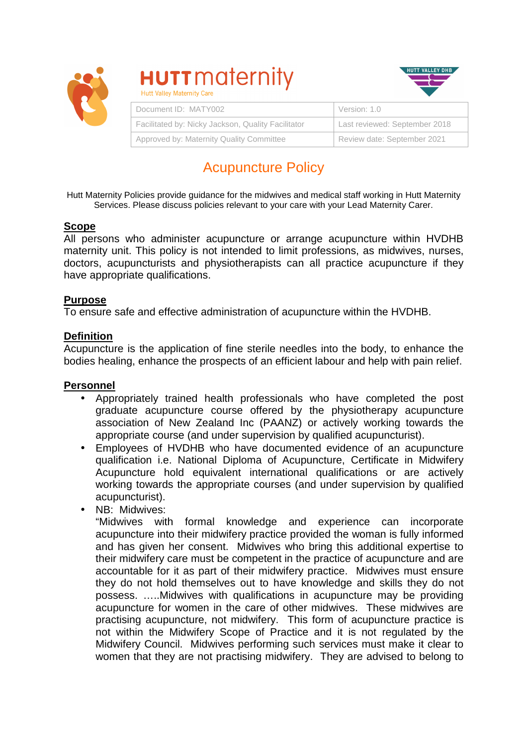

# **HUTT** maternity



| Document ID: MATY002                               | Version: 1.0                  |
|----------------------------------------------------|-------------------------------|
| Facilitated by: Nicky Jackson, Quality Facilitator | Last reviewed: September 2018 |
| Approved by: Maternity Quality Committee           | Review date: September 2021   |

# Acupuncture Policy

Hutt Maternity Policies provide guidance for the midwives and medical staff working in Hutt Maternity Services. Please discuss policies relevant to your care with your Lead Maternity Carer.

# **Scope**

All persons who administer acupuncture or arrange acupuncture within HVDHB maternity unit. This policy is not intended to limit professions, as midwives, nurses, doctors, acupuncturists and physiotherapists can all practice acupuncture if they have appropriate qualifications.

# **Purpose**

To ensure safe and effective administration of acupuncture within the HVDHB.

# **Definition**

Acupuncture is the application of fine sterile needles into the body, to enhance the bodies healing, enhance the prospects of an efficient labour and help with pain relief.

# **Personnel**

- Appropriately trained health professionals who have completed the post graduate acupuncture course offered by the physiotherapy acupuncture association of New Zealand Inc (PAANZ) or actively working towards the appropriate course (and under supervision by qualified acupuncturist).
- Employees of HVDHB who have documented evidence of an acupuncture qualification i.e. National Diploma of Acupuncture, Certificate in Midwifery Acupuncture hold equivalent international qualifications or are actively working towards the appropriate courses (and under supervision by qualified acupuncturist).
- NB: Midwives:

"Midwives with formal knowledge and experience can incorporate acupuncture into their midwifery practice provided the woman is fully informed and has given her consent. Midwives who bring this additional expertise to their midwifery care must be competent in the practice of acupuncture and are accountable for it as part of their midwifery practice. Midwives must ensure they do not hold themselves out to have knowledge and skills they do not possess. …..Midwives with qualifications in acupuncture may be providing acupuncture for women in the care of other midwives. These midwives are practising acupuncture, not midwifery. This form of acupuncture practice is not within the Midwifery Scope of Practice and it is not regulated by the Midwifery Council. Midwives performing such services must make it clear to women that they are not practising midwifery. They are advised to belong to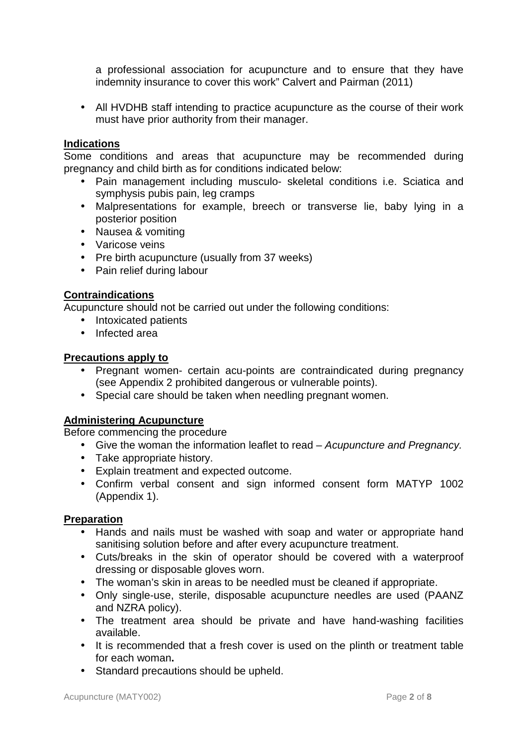a professional association for acupuncture and to ensure that they have indemnity insurance to cover this work" Calvert and Pairman (2011)

• All HVDHB staff intending to practice acupuncture as the course of their work must have prior authority from their manager.

#### **Indications**

Some conditions and areas that acupuncture may be recommended during pregnancy and child birth as for conditions indicated below:

- Pain management including musculo- skeletal conditions i.e. Sciatica and symphysis pubis pain, leg cramps
- Malpresentations for example, breech or transverse lie, baby lying in a posterior position
- Nausea & vomiting
- Varicose veins
- Pre birth acupuncture (usually from 37 weeks)
- Pain relief during labour

# **Contraindications**

Acupuncture should not be carried out under the following conditions:

- Intoxicated patients
- Infected area

#### **Precautions apply to**

- Pregnant women- certain acu-points are contraindicated during pregnancy (see Appendix 2 prohibited dangerous or vulnerable points).
- Special care should be taken when needling pregnant women.

# **Administering Acupuncture**

Before commencing the procedure

- Give the woman the information leaflet to read Acupuncture and Pregnancy.
- Take appropriate history.
- Explain treatment and expected outcome.
- Confirm verbal consent and sign informed consent form MATYP 1002 (Appendix 1).

#### **Preparation**

- Hands and nails must be washed with soap and water or appropriate hand sanitising solution before and after every acupuncture treatment.
- Cuts/breaks in the skin of operator should be covered with a waterproof dressing or disposable gloves worn.
- The woman's skin in areas to be needled must be cleaned if appropriate.
- Only single-use, sterile, disposable acupuncture needles are used (PAANZ and NZRA policy).
- The treatment area should be private and have hand-washing facilities available.
- It is recommended that a fresh cover is used on the plinth or treatment table for each woman**.**
- Standard precautions should be upheld.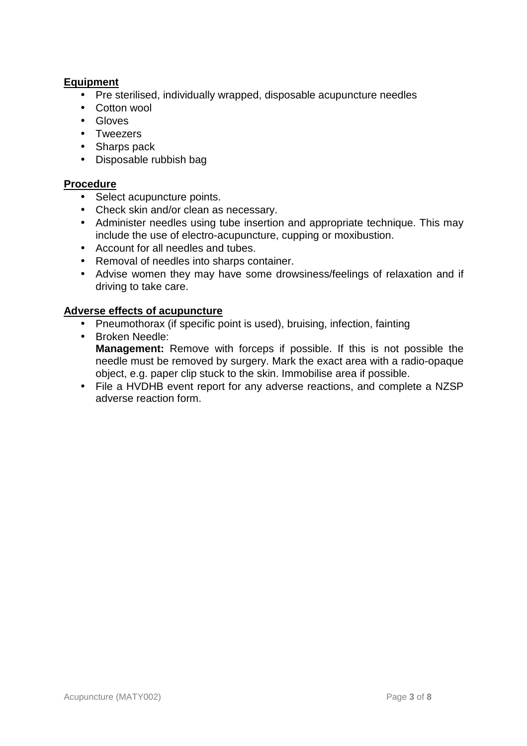# **Equipment**

- Pre sterilised, individually wrapped, disposable acupuncture needles
- Cotton wool
- Gloves
- Tweezers
- Sharps pack
- Disposable rubbish bag

# **Procedure**

- Select acupuncture points.
- Check skin and/or clean as necessary.
- Administer needles using tube insertion and appropriate technique. This may include the use of electro-acupuncture, cupping or moxibustion.
- Account for all needles and tubes.
- Removal of needles into sharps container.
- Advise women they may have some drowsiness/feelings of relaxation and if driving to take care.

# **Adverse effects of acupuncture**

- Pneumothorax (if specific point is used), bruising, infection, fainting
- Broken Needle: **Management:** Remove with forceps if possible. If this is not possible the needle must be removed by surgery. Mark the exact area with a radio-opaque object, e.g. paper clip stuck to the skin. Immobilise area if possible.
- File a HVDHB event report for any adverse reactions, and complete a NZSP adverse reaction form.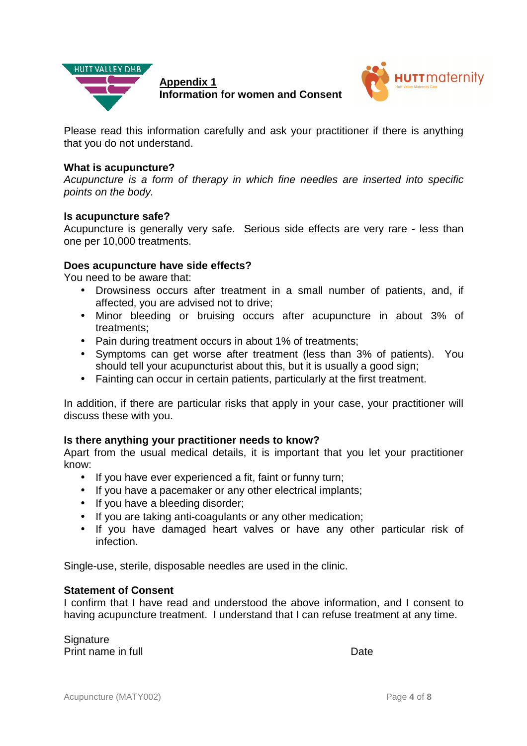

**Appendix 1 Information for women and Consent** 



Please read this information carefully and ask your practitioner if there is anything that you do not understand.

#### **What is acupuncture?**

Acupuncture is a form of therapy in which fine needles are inserted into specific points on the body.

#### **Is acupuncture safe?**

Acupuncture is generally very safe. Serious side effects are very rare - less than one per 10,000 treatments.

#### **Does acupuncture have side effects?**

You need to be aware that:

- Drowsiness occurs after treatment in a small number of patients, and, if affected, you are advised not to drive;
- Minor bleeding or bruising occurs after acupuncture in about 3% of treatments;
- Pain during treatment occurs in about 1% of treatments;
- Symptoms can get worse after treatment (less than 3% of patients). You should tell your acupuncturist about this, but it is usually a good sign;
- Fainting can occur in certain patients, particularly at the first treatment.

In addition, if there are particular risks that apply in your case, your practitioner will discuss these with you.

# **Is there anything your practitioner needs to know?**

Apart from the usual medical details, it is important that you let your practitioner know:

- If you have ever experienced a fit, faint or funny turn;
- If you have a pacemaker or any other electrical implants;
- If you have a bleeding disorder;
- If you are taking anti-coagulants or any other medication;
- If you have damaged heart valves or have any other particular risk of infection.

Single-use, sterile, disposable needles are used in the clinic.

#### **Statement of Consent**

I confirm that I have read and understood the above information, and I consent to having acupuncture treatment. I understand that I can refuse treatment at any time.

**Signature** Print name in full **Date**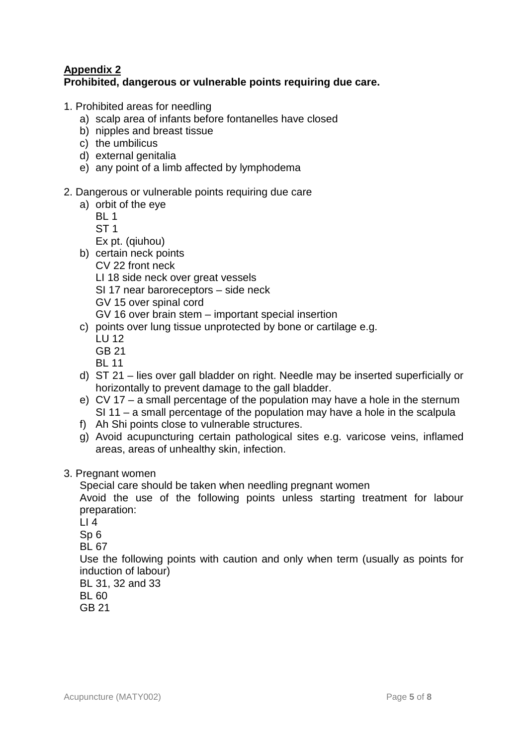# **Appendix 2 Prohibited, dangerous or vulnerable points requiring due care.**

- 1. Prohibited areas for needling
	- a) scalp area of infants before fontanelles have closed
	- b) nipples and breast tissue
	- c) the umbilicus
	- d) external genitalia
	- e) any point of a limb affected by lymphodema

# 2. Dangerous or vulnerable points requiring due care

- a) orbit of the eye
	- BL 1
	- ST 1

Ex pt. (qiuhou)

b) certain neck points

CV 22 front neck

LI 18 side neck over great vessels

- SI 17 near baroreceptors side neck
- GV 15 over spinal cord
- GV 16 over brain stem important special insertion
- c) points over lung tissue unprotected by bone or cartilage e.g.
	- LU 12
	- GB 21
	- BL 11
- d) ST 21 lies over gall bladder on right. Needle may be inserted superficially or horizontally to prevent damage to the gall bladder.
- e) CV 17 a small percentage of the population may have a hole in the sternum SI 11 – a small percentage of the population may have a hole in the scalpula
- f) Ah Shi points close to vulnerable structures.
- g) Avoid acupuncturing certain pathological sites e.g. varicose veins, inflamed areas, areas of unhealthy skin, infection.

# 3. Pregnant women

Special care should be taken when needling pregnant women

Avoid the use of the following points unless starting treatment for labour preparation:

 $|$ | 4

 $Sp 6$ 

BL 67

Use the following points with caution and only when term (usually as points for induction of labour)

BL 31, 32 and 33

BL 60

GB 21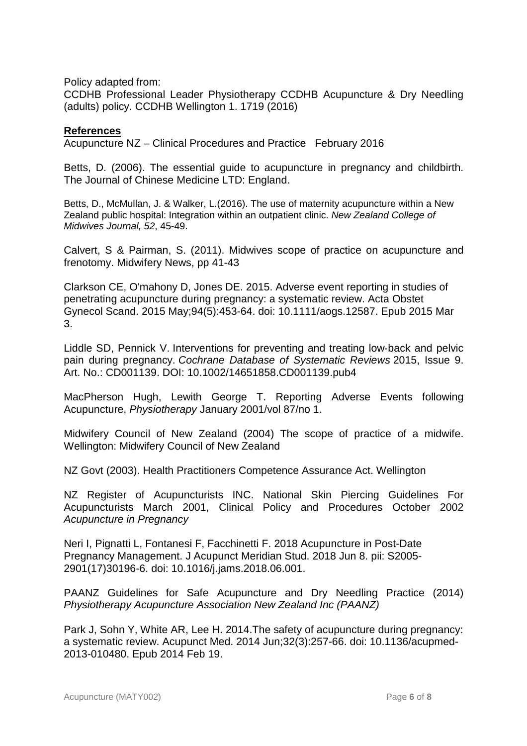Policy adapted from:

CCDHB Professional Leader Physiotherapy CCDHB Acupuncture & Dry Needling (adults) policy. CCDHB Wellington 1. 1719 (2016)

#### **References**

Acupuncture NZ – Clinical Procedures and Practice February 2016

Betts, D. (2006). The essential guide to acupuncture in pregnancy and childbirth. The Journal of Chinese Medicine LTD: England.

Betts, D., McMullan, J. & Walker, L.(2016). The use of maternity acupuncture within a New Zealand public hospital: Integration within an outpatient clinic. New Zealand College of Midwives Journal, 52, 45-49.

Calvert, S & Pairman, S. (2011). Midwives scope of practice on acupuncture and frenotomy. Midwifery News, pp 41-43

Clarkson CE, O'mahony D, Jones DE. 2015. Adverse event reporting in studies of penetrating acupuncture during pregnancy: a systematic review. Acta Obstet Gynecol Scand. 2015 May;94(5):453-64. doi: 10.1111/aogs.12587. Epub 2015 Mar 3.

Liddle SD, Pennick V. Interventions for preventing and treating low-back and pelvic pain during pregnancy. Cochrane Database of Systematic Reviews 2015, Issue 9. Art. No.: CD001139. DOI: 10.1002/14651858.CD001139.pub4

MacPherson Hugh, Lewith George T. Reporting Adverse Events following Acupuncture, Physiotherapy January 2001/vol 87/no 1.

Midwifery Council of New Zealand (2004) The scope of practice of a midwife. Wellington: Midwifery Council of New Zealand

NZ Govt (2003). Health Practitioners Competence Assurance Act. Wellington

NZ Register of Acupuncturists INC. National Skin Piercing Guidelines For Acupuncturists March 2001, Clinical Policy and Procedures October 2002 Acupuncture in Pregnancy

Neri I, Pignatti L, Fontanesi F, Facchinetti F. 2018 Acupuncture in Post-Date Pregnancy Management. J Acupunct Meridian Stud. 2018 Jun 8. pii: S2005- 2901(17)30196-6. doi: 10.1016/j.jams.2018.06.001.

PAANZ Guidelines for Safe Acupuncture and Dry Needling Practice (2014) Physiotherapy Acupuncture Association New Zealand Inc (PAANZ)

Park J, Sohn Y, White AR, Lee H. 2014.The safety of acupuncture during pregnancy: a systematic review. Acupunct Med. 2014 Jun;32(3):257-66. doi: 10.1136/acupmed-2013-010480. Epub 2014 Feb 19.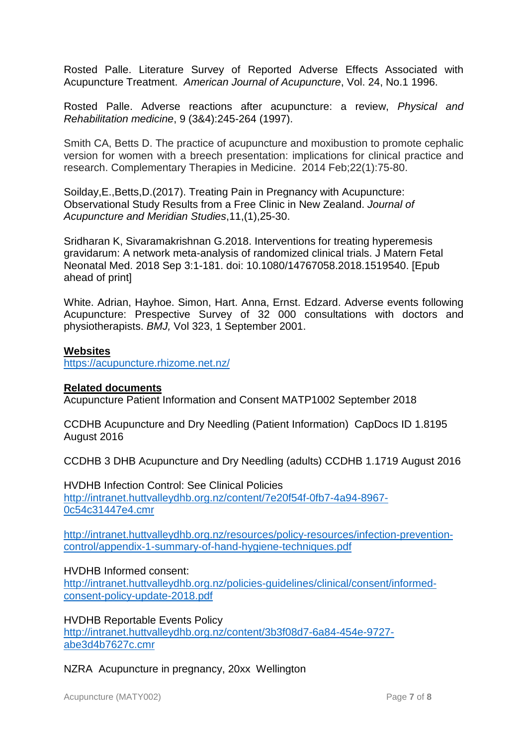Rosted Palle. Literature Survey of Reported Adverse Effects Associated with Acupuncture Treatment. American Journal of Acupuncture, Vol. 24, No.1 1996.

Rosted Palle. Adverse reactions after acupuncture: a review, Physical and Rehabilitation medicine, 9 (3&4):245-264 (1997).

Smith CA, Betts D. The practice of acupuncture and moxibustion to promote cephalic version for women with a breech presentation: implications for clinical practice and research. Complementary Therapies in Medicine. 2014 Feb;22(1):75-80.

Soilday,E.,Betts,D.(2017). Treating Pain in Pregnancy with Acupuncture: Observational Study Results from a Free Clinic in New Zealand. Journal of Acupuncture and Meridian Studies,11,(1),25-30.

Sridharan K, Sivaramakrishnan G.2018. Interventions for treating hyperemesis gravidarum: A network meta-analysis of randomized clinical trials. J Matern Fetal Neonatal Med. 2018 Sep 3:1-181. doi: 10.1080/14767058.2018.1519540. [Epub ahead of print]

White. Adrian, Hayhoe. Simon, Hart. Anna, Ernst. Edzard. Adverse events following Acupuncture: Prespective Survey of 32 000 consultations with doctors and physiotherapists. BMJ, Vol 323, 1 September 2001.

#### **Websites**

https://acupuncture.rhizome.net.nz/

#### **Related documents**

Acupuncture Patient Information and Consent MATP1002 September 2018

CCDHB Acupuncture and Dry Needling (Patient Information) CapDocs ID 1.8195 August 2016

CCDHB 3 DHB Acupuncture and Dry Needling (adults) CCDHB 1.1719 August 2016

HVDHB Infection Control: See Clinical Policies http://intranet.huttvalleydhb.org.nz/content/7e20f54f-0fb7-4a94-8967- 0c54c31447e4.cmr

http://intranet.huttvalleydhb.org.nz/resources/policy-resources/infection-preventioncontrol/appendix-1-summary-of-hand-hygiene-techniques.pdf

#### HVDHB Informed consent:

http://intranet.huttvalleydhb.org.nz/policies-guidelines/clinical/consent/informedconsent-policy-update-2018.pdf

HVDHB Reportable Events Policy http://intranet.huttvalleydhb.org.nz/content/3b3f08d7-6a84-454e-9727 abe3d4b7627c.cmr

NZRA Acupuncture in pregnancy, 20xx Wellington